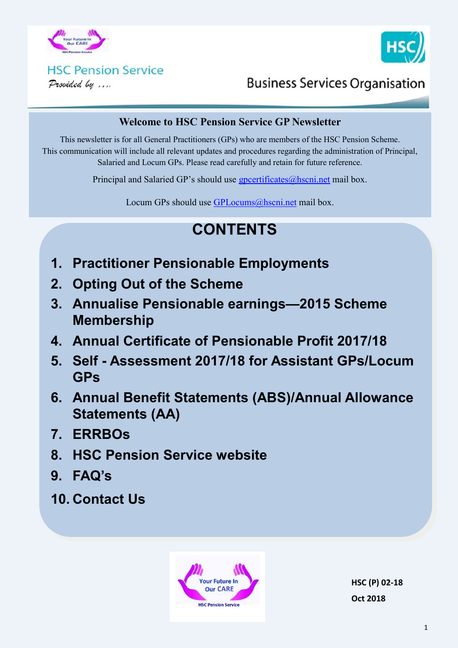



# **HSC Pension Service**

Provided by ....

# **Business Services Organisation**

#### **Welcome to HSC Pension Service GP Newsletter**

This newsletter is for all General Practitioners (GPs) who are members of the HSC Pension Scheme. This communication will include all relevant updates and procedures regarding the administration of Principal, Salaried and Locum GPs. Please read carefully and retain for future reference.

Principal and Salaried GP's should use  $g$  poertificates $@$  hscning mail box.

Locum GPs should use [GPLocums@hscni.net](mailto:GPLocums@hscni.net) mail box.

# **CONTENTS**

- **1. Practitioner Pensionable Employments**
- **2. Opting Out of the Scheme**
- **3. Annualise Pensionable earnings—2015 Scheme Membership**
- **4. Annual Certificate of Pensionable Profit 2017/18**
- **5. Self - Assessment 2017/18 for Assistant GPs/Locum GPs**
- **6. Annual Benefit Statements (ABS)/Annual Allowance Statements (AA)**
- **7. ERRBOs**
- **8. HSC Pension Service website**
- **9. FAQ's**
- **10. Contact Us**



**HSC (P) 02-18 Oct 2018**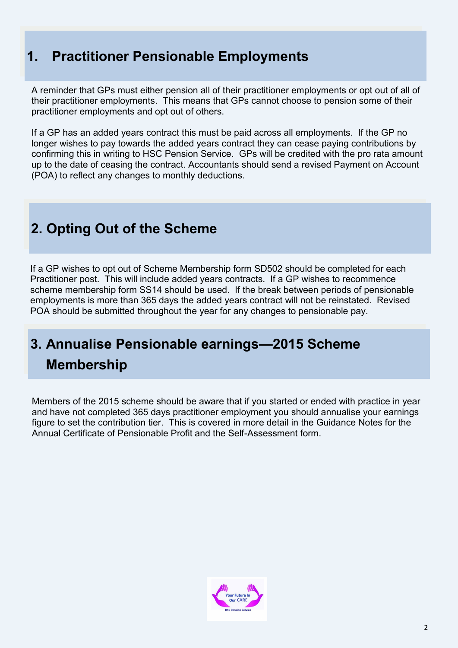## **1. Practitioner Pensionable Employments**

A reminder that GPs must either pension all of their practitioner employments or opt out of all of their practitioner employments. This means that GPs cannot choose to pension some of their practitioner employments and opt out of others.

If a GP has an added years contract this must be paid across all employments. If the GP no longer wishes to pay towards the added years contract they can cease paying contributions by confirming this in writing to HSC Pension Service. GPs will be credited with the pro rata amount up to the date of ceasing the contract. Accountants should send a revised Payment on Account (POA) to reflect any changes to monthly deductions.

# **2. Opting Out of the Scheme**

If a GP wishes to opt out of Scheme Membership form SD502 should be completed for each Practitioner post. This will include added years contracts. If a GP wishes to recommence scheme membership form SS14 should be used. If the break between periods of pensionable employments is more than 365 days the added years contract will not be reinstated. Revised POA should be submitted throughout the year for any changes to pensionable pay.

# **3. Annualise Pensionable earnings—2015 Scheme Membership**

Members of the 2015 scheme should be aware that if you started or ended with practice in year and have not completed 365 days practitioner employment you should annualise your earnings figure to set the contribution tier. This is covered in more detail in the Guidance Notes for the Annual Certificate of Pensionable Profit and the Self-Assessment form.

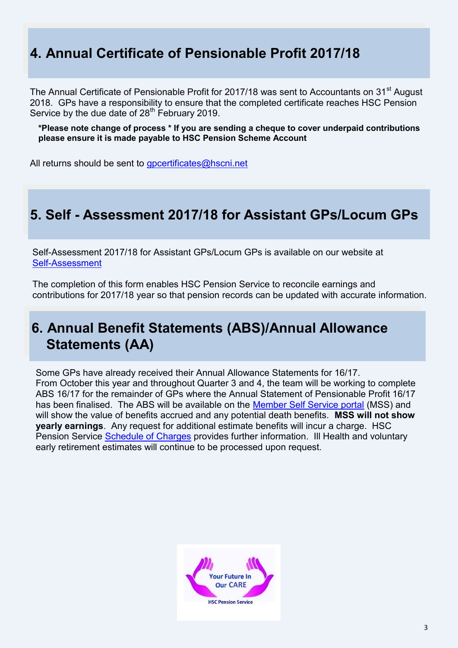# **4. Annual Certificate of Pensionable Profit 2017/18**

The Annual Certificate of Pensionable Profit for 2017/18 was sent to Accountants on 31<sup>st</sup> August 2018. GPs have a responsibility to ensure that the completed certificate reaches HSC Pension Service by the due date of 28<sup>th</sup> February 2019.

**\*Please note change of process \* If you are sending a cheque to cover underpaid contributions please ensure it is made payable to HSC Pension Scheme Account**

All returns should be sent to [gpcertificates@hscni.net](mailto:gpcertificates@hscni.net)

### **5. Self - Assessment 2017/18 for Assistant GPs/Locum GPs**

Self-Assessment 2017/18 for Assistant GPs/Locum GPs is available on our website at Self-[Assessment](http://www.hscpensions.hscni.net/practitioners/salaried-3/)

The completion of this form enables HSC Pension Service to reconcile earnings and contributions for 2017/18 year so that pension records can be updated with accurate information.

### **6. Annual Benefit Statements (ABS)/Annual Allowance Statements (AA)**

Some GPs have already received their Annual Allowance Statements for 16/17. From October this year and throughout Quarter 3 and 4, the team will be working to complete ABS 16/17 for the remainder of GPs where the Annual Statement of Pensionable Profit 16/17 has been finalised. The ABS will be available on the [Member Self Service portal](http://www.hscpensions.hscni.net/quick-links/member-self-service/) (MSS) and will show the value of benefits accrued and any potential death benefits. **MSS will not show yearly earnings**. Any request for additional estimate benefits will incur a charge. HSC Pension Service [Schedule of Charges](http://www.hscpensions.hscni.net/file/schedule-of-charges-member-pdf/) provides further information. Ill Health and voluntary early retirement estimates will continue to be processed upon request.

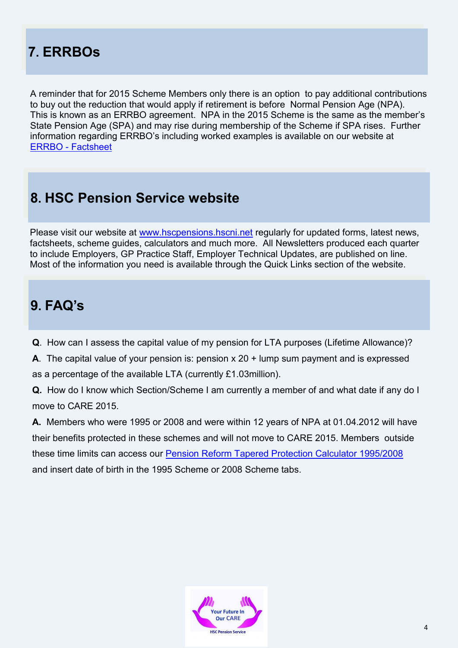# **7. ERRBOs**

A reminder that for 2015 Scheme Members only there is an option to pay additional contributions to buy out the reduction that would apply if retirement is before Normal Pension Age (NPA). This is known as an ERRBO agreement. NPA in the 2015 Scheme is the same as the member's State Pension Age (SPA) and may rise during membership of the Scheme if SPA rises. Further information regarding ERRBO's including worked examples is available on our website at ERRBO - [Factsheet](http://www.hscpensions.hscni.net/download/ERRBO-Factsheet.pdf)

## **8. HSC Pension Service website**

Please visit our website at [www.hscpensions.hscni.net](http://www.hscpensions.hscni.net) regularly for updated forms, latest news, factsheets, scheme guides, calculators and much more. All Newsletters produced each quarter to include Employers, GP Practice Staff, Employer Technical Updates, are published on line. Most of the information you need is available through the Quick Links section of the website.

### **9. FAQ's**

- **Q**. How can I assess the capital value of my pension for LTA purposes (Lifetime Allowance)?
- **A**. The capital value of your pension is: pension x 20 + lump sum payment and is expressed as a percentage of the available LTA (currently £1.03million).
- **Q.** How do I know which Section/Scheme I am currently a member of and what date if any do I move to CARE 2015.

**A.** Members who were 1995 or 2008 and were within 12 years of NPA at 01.04.2012 will have their benefits protected in these schemes and will not move to CARE 2015. Members outside these time limits can access our [Pension Reform Tapered Protection Calculator 1995/2008](http://www.hscpensions.hscni.net/pension-reform-tapered-protection-calculatorinformation/) and insert date of birth in the 1995 Scheme or 2008 Scheme tabs.